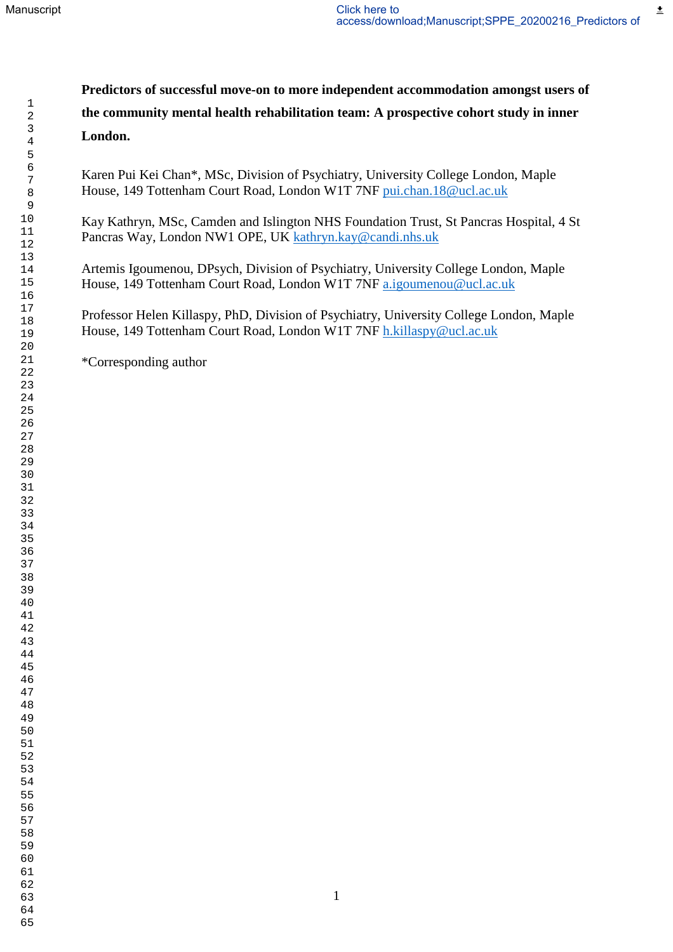主

**Predictors of successful move-on to more independent accommodation amongst users of the community mental health rehabilitation team: A prospective cohort study in inner London.**

Karen Pui Kei Chan\*, MSc, Division of Psychiatry, University College London, Maple House, 149 Tottenham Court Road, London W1T 7NF [pui.chan.18@ucl.ac.uk](mailto:pui.chan.18@ucl.ac.uk)

Kay Kathryn, MSc, Camden and Islington NHS Foundation Trust, St Pancras Hospital, 4 St Pancras Way, London NW1 OPE, UK [kathryn.kay@candi.nhs.uk](mailto:kathryn.kay@candi.nhs.uk)

Artemis Igoumenou, DPsych, Division of Psychiatry, University College London, Maple House, 149 Tottenham Court Road, London W1T 7NF [a.igoumenou@ucl.ac.uk](mailto:a.igoumenou@ucl.ac.uk)

Professor Helen Killaspy, PhD, Division of Psychiatry, University College London, Maple House, 149 Tottenham Court Road, London W1T 7NF [h.killaspy@ucl.ac.uk](mailto:h.killaspy@ucl.ac.uk)

\*Corresponding author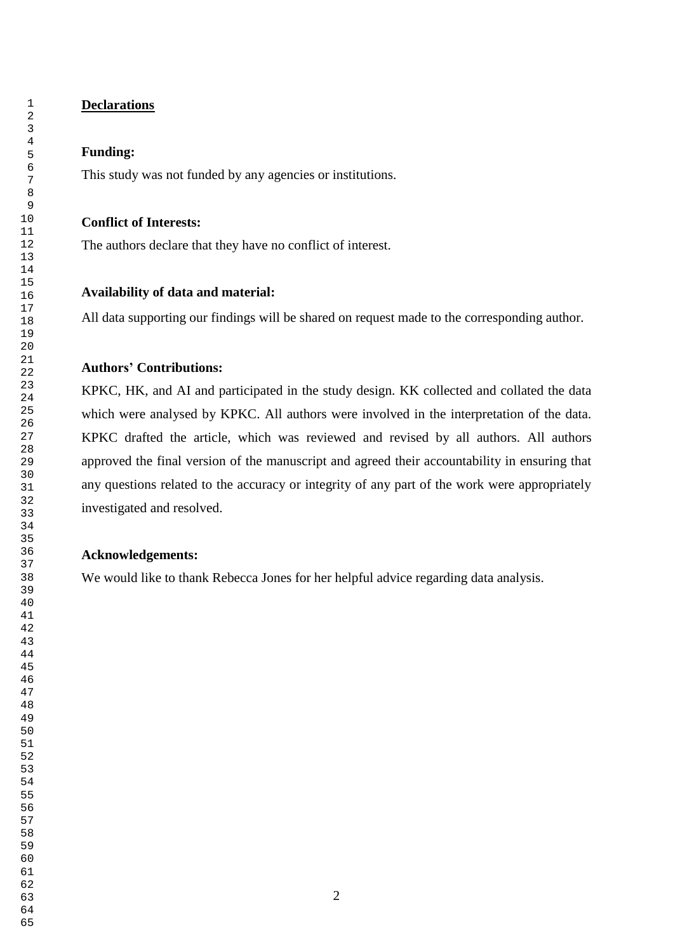## **Declarations**

## **Funding:**

This study was not funded by any agencies or institutions.

## **Conflict of Interests:**

The authors declare that they have no conflict of interest.

## **Availability of data and material:**

All data supporting our findings will be shared on request made to the corresponding author.

# **Authors' Contributions:**

KPKC, HK, and AI and participated in the study design. KK collected and collated the data which were analysed by KPKC. All authors were involved in the interpretation of the data. KPKC drafted the article, which was reviewed and revised by all authors. All authors approved the final version of the manuscript and agreed their accountability in ensuring that any questions related to the accuracy or integrity of any part of the work were appropriately investigated and resolved.

#### **Acknowledgements:**

We would like to thank Rebecca Jones for her helpful advice regarding data analysis.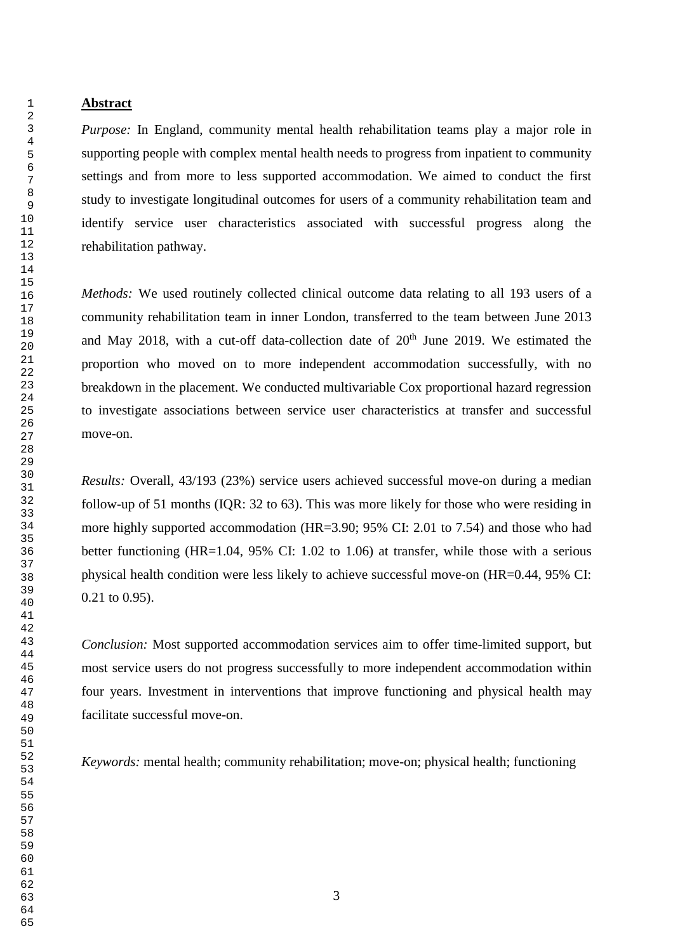#### **Abstract**

*Purpose:* In England, community mental health rehabilitation teams play a major role in supporting people with complex mental health needs to progress from inpatient to community settings and from more to less supported accommodation. We aimed to conduct the first study to investigate longitudinal outcomes for users of a community rehabilitation team and identify service user characteristics associated with successful progress along the rehabilitation pathway.

*Methods:* We used routinely collected clinical outcome data relating to all 193 users of a community rehabilitation team in inner London, transferred to the team between June 2013 and May 2018, with a cut-off data-collection date of  $20<sup>th</sup>$  June 2019. We estimated the proportion who moved on to more independent accommodation successfully, with no breakdown in the placement. We conducted multivariable Cox proportional hazard regression to investigate associations between service user characteristics at transfer and successful move-on.

*Results:* Overall, 43/193 (23%) service users achieved successful move-on during a median follow-up of 51 months (IQR: 32 to 63). This was more likely for those who were residing in more highly supported accommodation (HR=3.90; 95% CI: 2.01 to 7.54) and those who had better functioning (HR=1.04, 95% CI: 1.02 to 1.06) at transfer, while those with a serious physical health condition were less likely to achieve successful move-on (HR=0.44, 95% CI: 0.21 to 0.95).

*Conclusion:* Most supported accommodation services aim to offer time-limited support, but most service users do not progress successfully to more independent accommodation within four years. Investment in interventions that improve functioning and physical health may facilitate successful move-on.

*Keywords:* mental health; community rehabilitation; move-on; physical health; functioning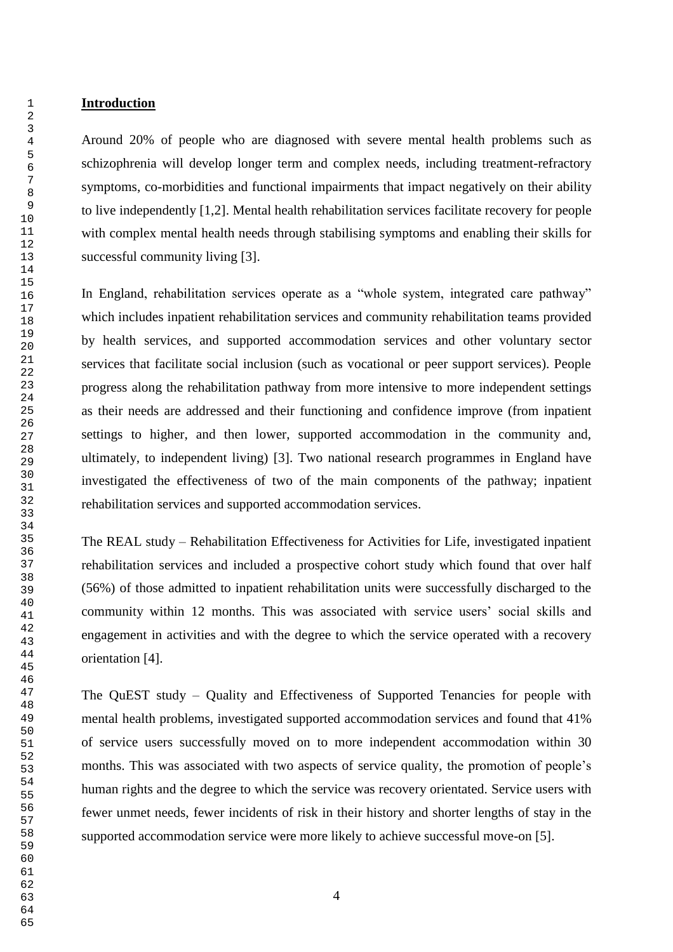Around 20% of people who are diagnosed with severe mental health problems such as schizophrenia will develop longer term and complex needs, including treatment-refractory symptoms, co-morbidities and functional impairments that impact negatively on their ability to live independently [1,2]. Mental health rehabilitation services facilitate recovery for people with complex mental health needs through stabilising symptoms and enabling their skills for successful community living [3].

In England, rehabilitation services operate as a "whole system, integrated care pathway" which includes inpatient rehabilitation services and community rehabilitation teams provided by health services, and supported accommodation services and other voluntary sector services that facilitate social inclusion (such as vocational or peer support services). People progress along the rehabilitation pathway from more intensive to more independent settings as their needs are addressed and their functioning and confidence improve (from inpatient settings to higher, and then lower, supported accommodation in the community and, ultimately, to independent living) [3]. Two national research programmes in England have investigated the effectiveness of two of the main components of the pathway; inpatient rehabilitation services and supported accommodation services.

The REAL study – Rehabilitation Effectiveness for Activities for Life, investigated inpatient rehabilitation services and included a prospective cohort study which found that over half (56%) of those admitted to inpatient rehabilitation units were successfully discharged to the community within 12 months. This was associated with service users' social skills and engagement in activities and with the degree to which the service operated with a recovery orientation [4].

The QuEST study – Quality and Effectiveness of Supported Tenancies for people with mental health problems, investigated supported accommodation services and found that 41% of service users successfully moved on to more independent accommodation within 30 months. This was associated with two aspects of service quality, the promotion of people's human rights and the degree to which the service was recovery orientated. Service users with fewer unmet needs, fewer incidents of risk in their history and shorter lengths of stay in the supported accommodation service were more likely to achieve successful move-on [5].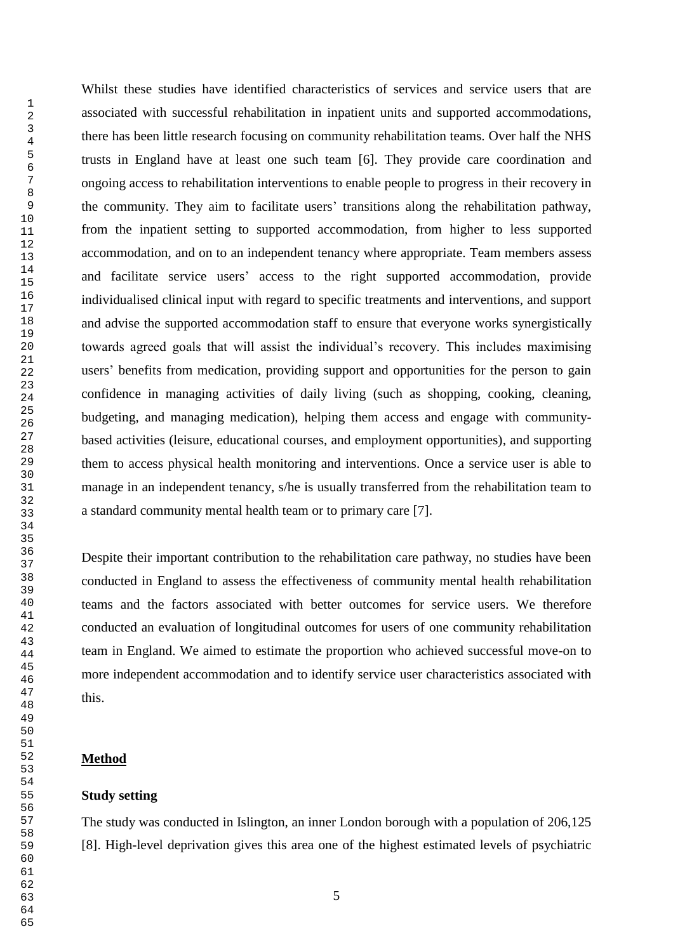Whilst these studies have identified characteristics of services and service users that are associated with successful rehabilitation in inpatient units and supported accommodations, there has been little research focusing on community rehabilitation teams. Over half the NHS trusts in England have at least one such team [6]. They provide care coordination and ongoing access to rehabilitation interventions to enable people to progress in their recovery in the community. They aim to facilitate users' transitions along the rehabilitation pathway, from the inpatient setting to supported accommodation, from higher to less supported accommodation, and on to an independent tenancy where appropriate. Team members assess and facilitate service users' access to the right supported accommodation, provide individualised clinical input with regard to specific treatments and interventions, and support and advise the supported accommodation staff to ensure that everyone works synergistically towards agreed goals that will assist the individual's recovery. This includes maximising users' benefits from medication, providing support and opportunities for the person to gain confidence in managing activities of daily living (such as shopping, cooking, cleaning, budgeting, and managing medication), helping them access and engage with communitybased activities (leisure, educational courses, and employment opportunities), and supporting them to access physical health monitoring and interventions. Once a service user is able to manage in an independent tenancy, s/he is usually transferred from the rehabilitation team to a standard community mental health team or to primary care [7].

Despite their important contribution to the rehabilitation care pathway, no studies have been conducted in England to assess the effectiveness of community mental health rehabilitation teams and the factors associated with better outcomes for service users. We therefore conducted an evaluation of longitudinal outcomes for users of one community rehabilitation team in England. We aimed to estimate the proportion who achieved successful move-on to more independent accommodation and to identify service user characteristics associated with this.

### **Method**

#### **Study setting**

The study was conducted in Islington, an inner London borough with a population of 206,125 [8]. High-level deprivation gives this area one of the highest estimated levels of psychiatric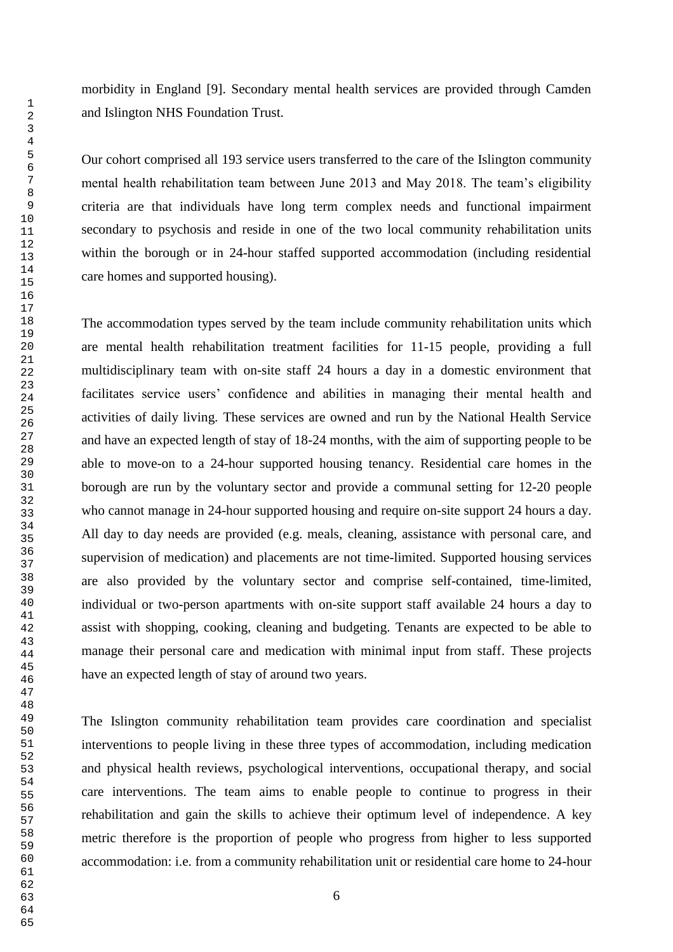morbidity in England [9]. Secondary mental health services are provided through Camden and Islington NHS Foundation Trust.

Our cohort comprised all 193 service users transferred to the care of the Islington community mental health rehabilitation team between June 2013 and May 2018. The team's eligibility criteria are that individuals have long term complex needs and functional impairment secondary to psychosis and reside in one of the two local community rehabilitation units within the borough or in 24-hour staffed supported accommodation (including residential care homes and supported housing).

The accommodation types served by the team include community rehabilitation units which are mental health rehabilitation treatment facilities for 11-15 people, providing a full multidisciplinary team with on-site staff 24 hours a day in a domestic environment that facilitates service users' confidence and abilities in managing their mental health and activities of daily living. These services are owned and run by the National Health Service and have an expected length of stay of 18-24 months, with the aim of supporting people to be able to move-on to a 24-hour supported housing tenancy. Residential care homes in the borough are run by the voluntary sector and provide a communal setting for 12-20 people who cannot manage in 24-hour supported housing and require on-site support 24 hours a day. All day to day needs are provided (e.g. meals, cleaning, assistance with personal care, and supervision of medication) and placements are not time-limited. Supported housing services are also provided by the voluntary sector and comprise self-contained, time-limited, individual or two-person apartments with on-site support staff available 24 hours a day to assist with shopping, cooking, cleaning and budgeting. Tenants are expected to be able to manage their personal care and medication with minimal input from staff. These projects have an expected length of stay of around two years.

The Islington community rehabilitation team provides care coordination and specialist interventions to people living in these three types of accommodation, including medication and physical health reviews, psychological interventions, occupational therapy, and social care interventions. The team aims to enable people to continue to progress in their rehabilitation and gain the skills to achieve their optimum level of independence. A key metric therefore is the proportion of people who progress from higher to less supported accommodation: i.e. from a community rehabilitation unit or residential care home to 24-hour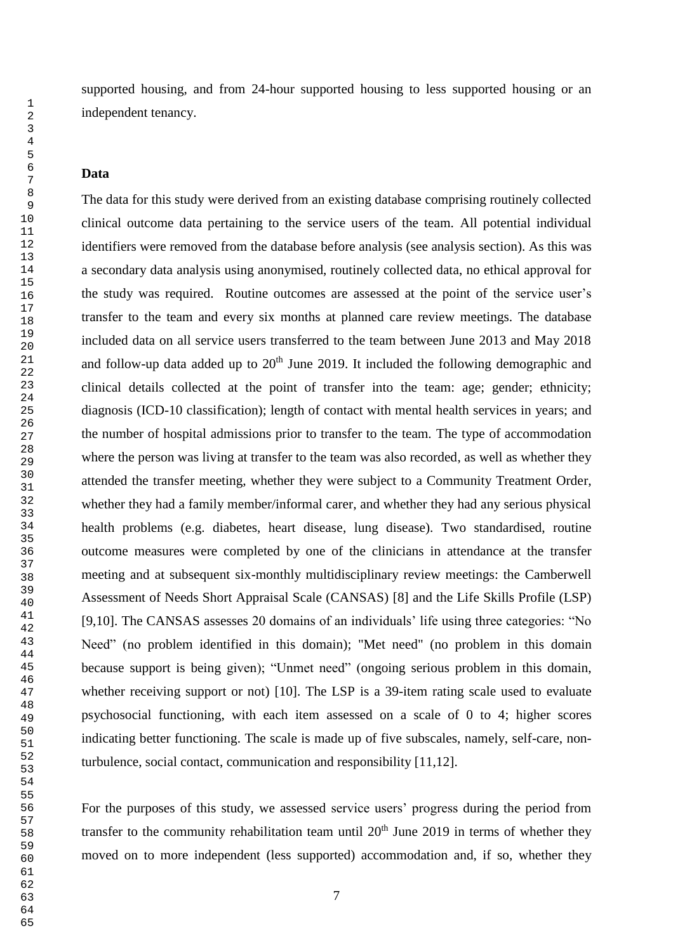supported housing, and from 24-hour supported housing to less supported housing or an independent tenancy.

### **Data**

The data for this study were derived from an existing database comprising routinely collected clinical outcome data pertaining to the service users of the team. All potential individual identifiers were removed from the database before analysis (see analysis section). As this was a secondary data analysis using anonymised, routinely collected data, no ethical approval for the study was required. Routine outcomes are assessed at the point of the service user's transfer to the team and every six months at planned care review meetings. The database included data on all service users transferred to the team between June 2013 and May 2018 and follow-up data added up to  $20<sup>th</sup>$  June 2019. It included the following demographic and clinical details collected at the point of transfer into the team: age; gender; ethnicity; diagnosis (ICD-10 classification); length of contact with mental health services in years; and the number of hospital admissions prior to transfer to the team. The type of accommodation where the person was living at transfer to the team was also recorded, as well as whether they attended the transfer meeting, whether they were subject to a Community Treatment Order, whether they had a family member/informal carer, and whether they had any serious physical health problems (e.g. diabetes, heart disease, lung disease). Two standardised, routine outcome measures were completed by one of the clinicians in attendance at the transfer meeting and at subsequent six-monthly multidisciplinary review meetings: the Camberwell Assessment of Needs Short Appraisal Scale (CANSAS) [8] and the Life Skills Profile (LSP) [9,10]. The CANSAS assesses 20 domains of an individuals' life using three categories: "No Need" (no problem identified in this domain); "Met need" (no problem in this domain because support is being given); "Unmet need" (ongoing serious problem in this domain, whether receiving support or not) [10]. The LSP is a 39-item rating scale used to evaluate psychosocial functioning, with each item assessed on a scale of 0 to 4; higher scores indicating better functioning. The scale is made up of five subscales, namely, self-care, nonturbulence, social contact, communication and responsibility [11,12].

For the purposes of this study, we assessed service users' progress during the period from transfer to the community rehabilitation team until  $20<sup>th</sup>$  June 2019 in terms of whether they moved on to more independent (less supported) accommodation and, if so, whether they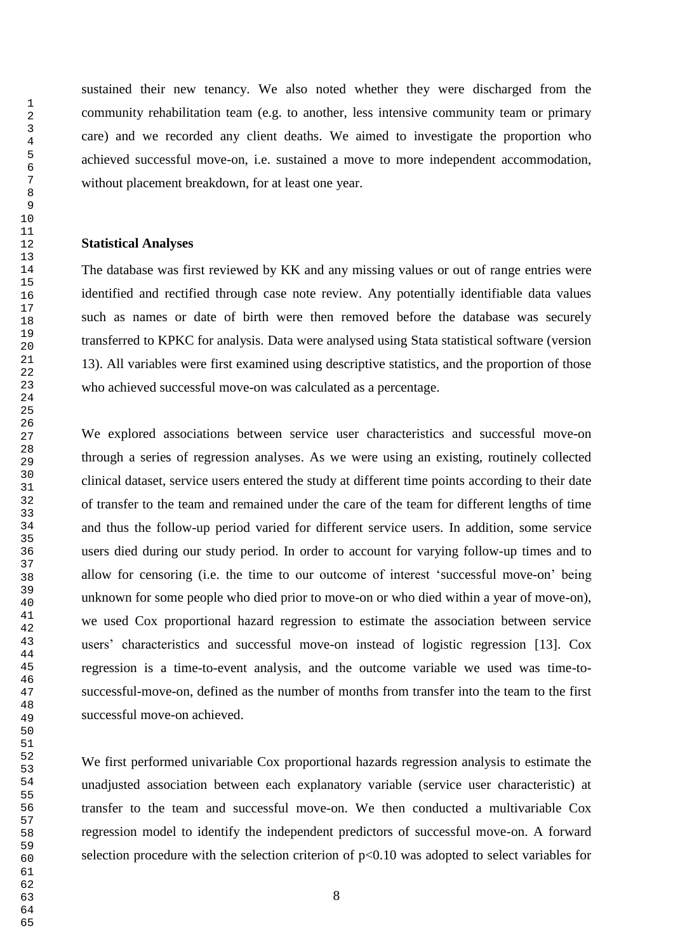sustained their new tenancy. We also noted whether they were discharged from the community rehabilitation team (e.g. to another, less intensive community team or primary care) and we recorded any client deaths. We aimed to investigate the proportion who achieved successful move-on, i.e. sustained a move to more independent accommodation, without placement breakdown, for at least one year.

### **Statistical Analyses**

The database was first reviewed by KK and any missing values or out of range entries were identified and rectified through case note review. Any potentially identifiable data values such as names or date of birth were then removed before the database was securely transferred to KPKC for analysis. Data were analysed using Stata statistical software (version 13). All variables were first examined using descriptive statistics, and the proportion of those who achieved successful move-on was calculated as a percentage.

We explored associations between service user characteristics and successful move-on through a series of regression analyses. As we were using an existing, routinely collected clinical dataset, service users entered the study at different time points according to their date of transfer to the team and remained under the care of the team for different lengths of time and thus the follow-up period varied for different service users. In addition, some service users died during our study period. In order to account for varying follow-up times and to allow for censoring (i.e. the time to our outcome of interest 'successful move-on' being unknown for some people who died prior to move-on or who died within a year of move-on), we used Cox proportional hazard regression to estimate the association between service users' characteristics and successful move-on instead of logistic regression [13]. Cox regression is a time-to-event analysis, and the outcome variable we used was time-tosuccessful-move-on, defined as the number of months from transfer into the team to the first successful move-on achieved.

We first performed univariable Cox proportional hazards regression analysis to estimate the unadjusted association between each explanatory variable (service user characteristic) at transfer to the team and successful move-on. We then conducted a multivariable Cox regression model to identify the independent predictors of successful move-on. A forward selection procedure with the selection criterion of  $p<0.10$  was adopted to select variables for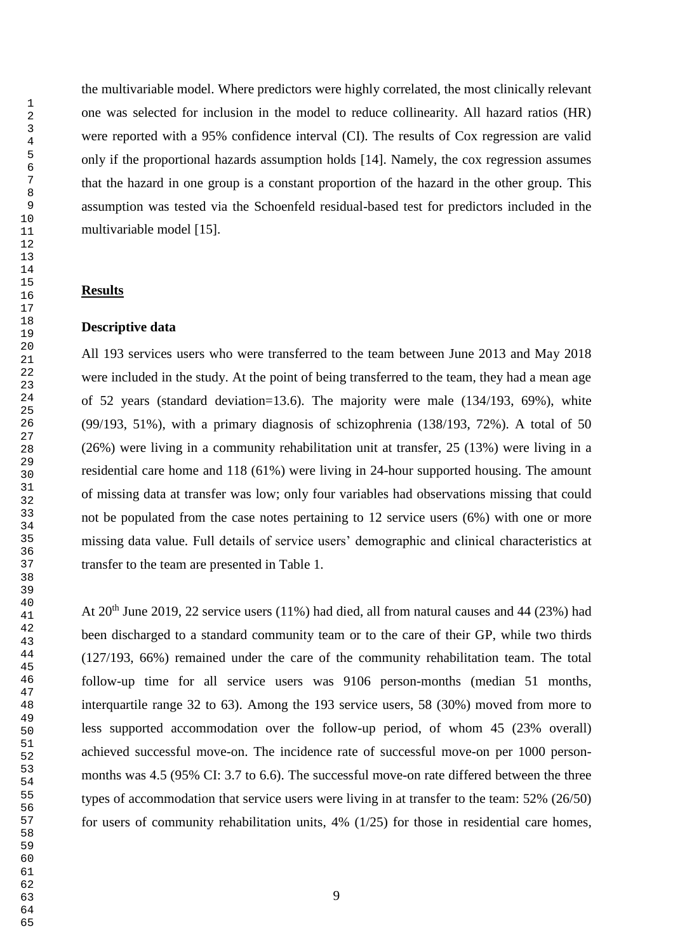the multivariable model. Where predictors were highly correlated, the most clinically relevant one was selected for inclusion in the model to reduce collinearity. All hazard ratios (HR) were reported with a 95% confidence interval (CI). The results of Cox regression are valid only if the proportional hazards assumption holds [14]. Namely, the cox regression assumes that the hazard in one group is a constant proportion of the hazard in the other group. This assumption was tested via the Schoenfeld residual-based test for predictors included in the multivariable model [15].

#### **Results**

### **Descriptive data**

All 193 services users who were transferred to the team between June 2013 and May 2018 were included in the study. At the point of being transferred to the team, they had a mean age of 52 years (standard deviation=13.6). The majority were male (134/193, 69%), white (99/193, 51%), with a primary diagnosis of schizophrenia (138/193, 72%). A total of 50 (26%) were living in a community rehabilitation unit at transfer, 25 (13%) were living in a residential care home and 118 (61%) were living in 24-hour supported housing. The amount of missing data at transfer was low; only four variables had observations missing that could not be populated from the case notes pertaining to 12 service users (6%) with one or more missing data value. Full details of service users' demographic and clinical characteristics at transfer to the team are presented in Table 1.

At  $20<sup>th</sup>$  June 2019, 22 service users (11%) had died, all from natural causes and 44 (23%) had been discharged to a standard community team or to the care of their GP, while two thirds (127/193, 66%) remained under the care of the community rehabilitation team. The total follow-up time for all service users was 9106 person-months (median 51 months, interquartile range 32 to 63). Among the 193 service users, 58 (30%) moved from more to less supported accommodation over the follow-up period, of whom 45 (23% overall) achieved successful move-on. The incidence rate of successful move-on per 1000 personmonths was 4.5 (95% CI: 3.7 to 6.6). The successful move-on rate differed between the three types of accommodation that service users were living in at transfer to the team: 52% (26/50) for users of community rehabilitation units, 4% (1/25) for those in residential care homes,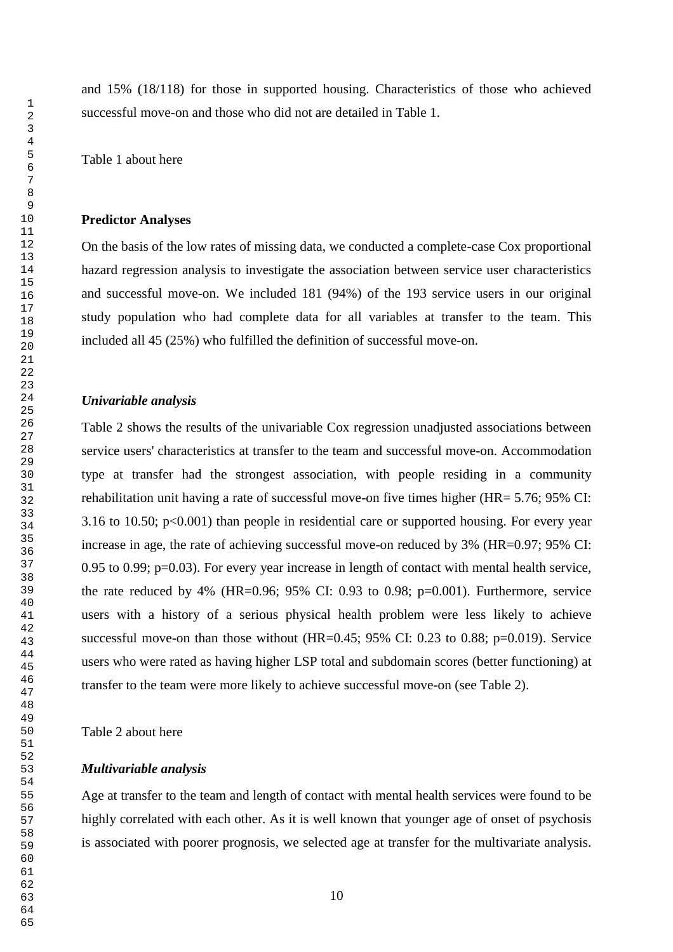and 15% (18/118) for those in supported housing. Characteristics of those who achieved successful move-on and those who did not are detailed in Table 1.

Table 1 about here

#### **Predictor Analyses**

On the basis of the low rates of missing data, we conducted a complete-case Cox proportional hazard regression analysis to investigate the association between service user characteristics and successful move-on. We included 181 (94%) of the 193 service users in our original study population who had complete data for all variables at transfer to the team. This included all 45 (25%) who fulfilled the definition of successful move-on.

#### *Univariable analysis*

Table 2 shows the results of the univariable Cox regression unadjusted associations between service users' characteristics at transfer to the team and successful move-on. Accommodation type at transfer had the strongest association, with people residing in a community rehabilitation unit having a rate of successful move-on five times higher (HR= 5.76; 95% CI: 3.16 to 10.50;  $p<0.001$ ) than people in residential care or supported housing. For every year increase in age, the rate of achieving successful move-on reduced by 3% (HR=0.97; 95% CI: 0.95 to 0.99; p=0.03). For every year increase in length of contact with mental health service, the rate reduced by 4% (HR=0.96; 95% CI: 0.93 to 0.98;  $p=0.001$ ). Furthermore, service users with a history of a serious physical health problem were less likely to achieve successful move-on than those without (HR=0.45;  $95\%$  CI: 0.23 to 0.88; p=0.019). Service users who were rated as having higher LSP total and subdomain scores (better functioning) at transfer to the team were more likely to achieve successful move-on (see Table 2).

Table 2 about here

#### *Multivariable analysis*

Age at transfer to the team and length of contact with mental health services were found to be highly correlated with each other. As it is well known that younger age of onset of psychosis is associated with poorer prognosis, we selected age at transfer for the multivariate analysis.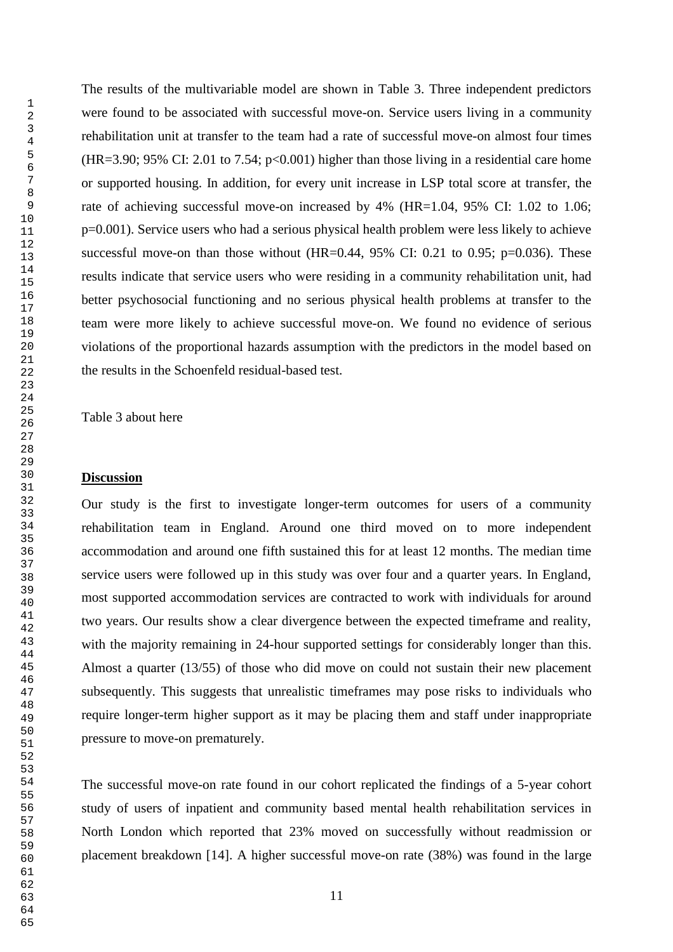The results of the multivariable model are shown in Table 3. Three independent predictors were found to be associated with successful move-on. Service users living in a community rehabilitation unit at transfer to the team had a rate of successful move-on almost four times  $(HR=3.90; 95\% \text{ CI: } 2.01 \text{ to } 7.54; p<0.001)$  higher than those living in a residential care home or supported housing. In addition, for every unit increase in LSP total score at transfer, the rate of achieving successful move-on increased by 4% (HR=1.04, 95% CI: 1.02 to 1.06; p=0.001). Service users who had a serious physical health problem were less likely to achieve successful move-on than those without  $(HR=0.44, 95\% \text{ CI: } 0.21 \text{ to } 0.95; \text{ p=0.036}).$  These results indicate that service users who were residing in a community rehabilitation unit, had better psychosocial functioning and no serious physical health problems at transfer to the team were more likely to achieve successful move-on. We found no evidence of serious violations of the proportional hazards assumption with the predictors in the model based on the results in the Schoenfeld residual-based test.

Table 3 about here

#### **Discussion**

Our study is the first to investigate longer-term outcomes for users of a community rehabilitation team in England. Around one third moved on to more independent accommodation and around one fifth sustained this for at least 12 months. The median time service users were followed up in this study was over four and a quarter years. In England, most supported accommodation services are contracted to work with individuals for around two years. Our results show a clear divergence between the expected timeframe and reality, with the majority remaining in 24-hour supported settings for considerably longer than this. Almost a quarter (13/55) of those who did move on could not sustain their new placement subsequently. This suggests that unrealistic timeframes may pose risks to individuals who require longer-term higher support as it may be placing them and staff under inappropriate pressure to move-on prematurely.

The successful move-on rate found in our cohort replicated the findings of a 5-year cohort study of users of inpatient and community based mental health rehabilitation services in North London which reported that 23% moved on successfully without readmission or placement breakdown [14]. A higher successful move-on rate (38%) was found in the large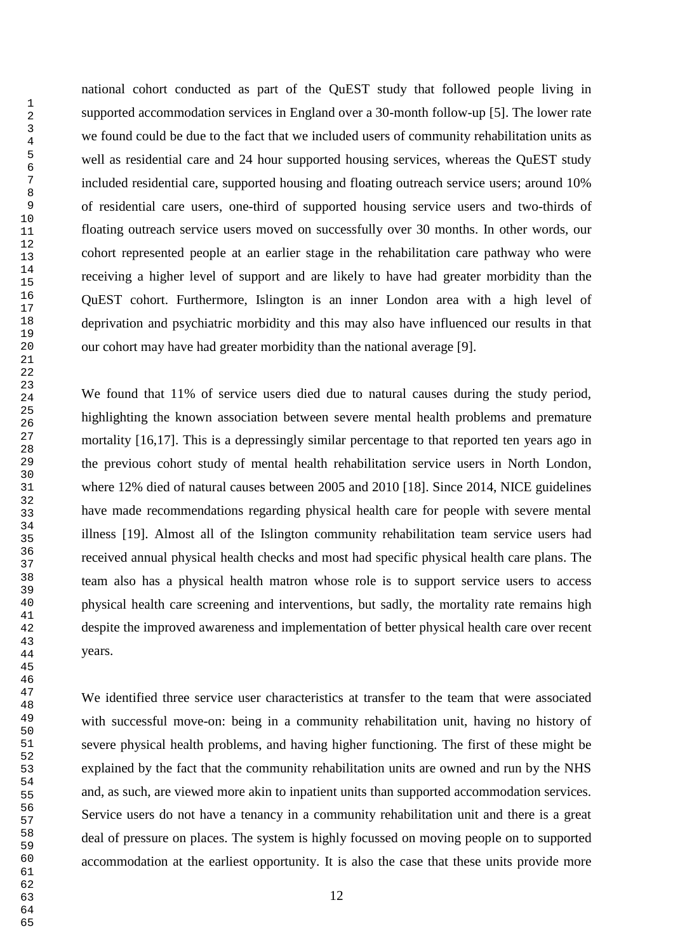national cohort conducted as part of the QuEST study that followed people living in supported accommodation services in England over a 30-month follow-up [5]. The lower rate we found could be due to the fact that we included users of community rehabilitation units as well as residential care and 24 hour supported housing services, whereas the QuEST study included residential care, supported housing and floating outreach service users; around 10% of residential care users, one-third of supported housing service users and two-thirds of floating outreach service users moved on successfully over 30 months. In other words, our cohort represented people at an earlier stage in the rehabilitation care pathway who were receiving a higher level of support and are likely to have had greater morbidity than the QuEST cohort. Furthermore, Islington is an inner London area with a high level of deprivation and psychiatric morbidity and this may also have influenced our results in that our cohort may have had greater morbidity than the national average [9].

We found that 11% of service users died due to natural causes during the study period, highlighting the known association between severe mental health problems and premature mortality [16,17]. This is a depressingly similar percentage to that reported ten years ago in the previous cohort study of mental health rehabilitation service users in North London, where 12% died of natural causes between 2005 and 2010 [18]. Since 2014, NICE guidelines have made recommendations regarding physical health care for people with severe mental illness [19]. Almost all of the Islington community rehabilitation team service users had received annual physical health checks and most had specific physical health care plans. The team also has a physical health matron whose role is to support service users to access physical health care screening and interventions, but sadly, the mortality rate remains high despite the improved awareness and implementation of better physical health care over recent years.

We identified three service user characteristics at transfer to the team that were associated with successful move-on: being in a community rehabilitation unit, having no history of severe physical health problems, and having higher functioning. The first of these might be explained by the fact that the community rehabilitation units are owned and run by the NHS and, as such, are viewed more akin to inpatient units than supported accommodation services. Service users do not have a tenancy in a community rehabilitation unit and there is a great deal of pressure on places. The system is highly focussed on moving people on to supported accommodation at the earliest opportunity. It is also the case that these units provide more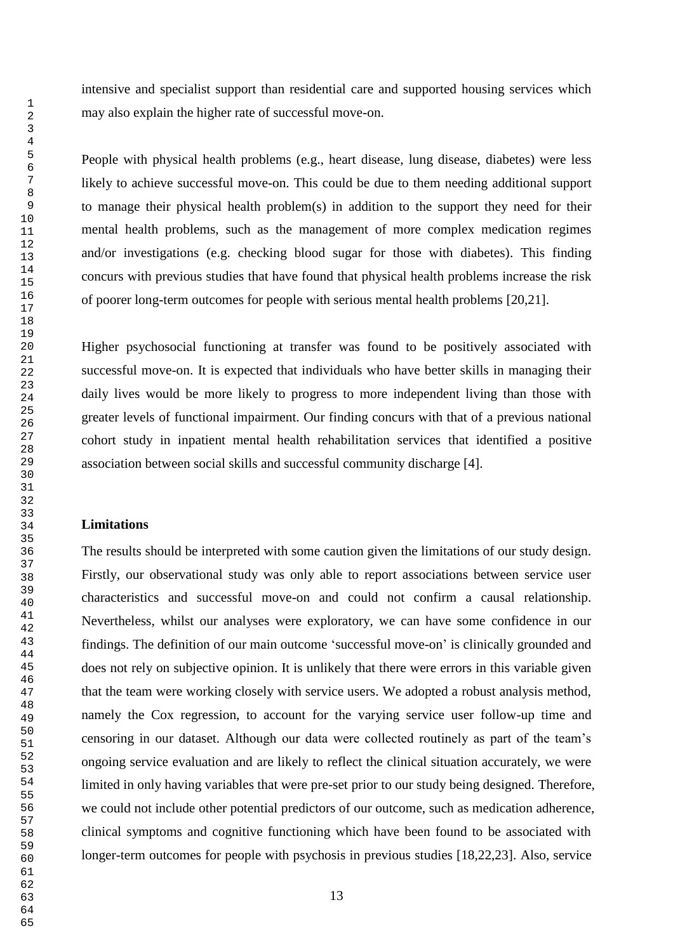intensive and specialist support than residential care and supported housing services which may also explain the higher rate of successful move-on.

People with physical health problems (e.g., heart disease, lung disease, diabetes) were less likely to achieve successful move-on. This could be due to them needing additional support to manage their physical health problem(s) in addition to the support they need for their mental health problems, such as the management of more complex medication regimes and/or investigations (e.g. checking blood sugar for those with diabetes). This finding concurs with previous studies that have found that physical health problems increase the risk of poorer long-term outcomes for people with serious mental health problems [20,21].

Higher psychosocial functioning at transfer was found to be positively associated with successful move-on. It is expected that individuals who have better skills in managing their daily lives would be more likely to progress to more independent living than those with greater levels of functional impairment. Our finding concurs with that of a previous national cohort study in inpatient mental health rehabilitation services that identified a positive association between social skills and successful community discharge [4].

## **Limitations**

The results should be interpreted with some caution given the limitations of our study design. Firstly, our observational study was only able to report associations between service user characteristics and successful move-on and could not confirm a causal relationship. Nevertheless, whilst our analyses were exploratory, we can have some confidence in our findings. The definition of our main outcome 'successful move-on' is clinically grounded and does not rely on subjective opinion. It is unlikely that there were errors in this variable given that the team were working closely with service users. We adopted a robust analysis method, namely the Cox regression, to account for the varying service user follow-up time and censoring in our dataset. Although our data were collected routinely as part of the team's ongoing service evaluation and are likely to reflect the clinical situation accurately, we were limited in only having variables that were pre-set prior to our study being designed. Therefore, we could not include other potential predictors of our outcome, such as medication adherence, clinical symptoms and cognitive functioning which have been found to be associated with longer-term outcomes for people with psychosis in previous studies [18,22,23]. Also, service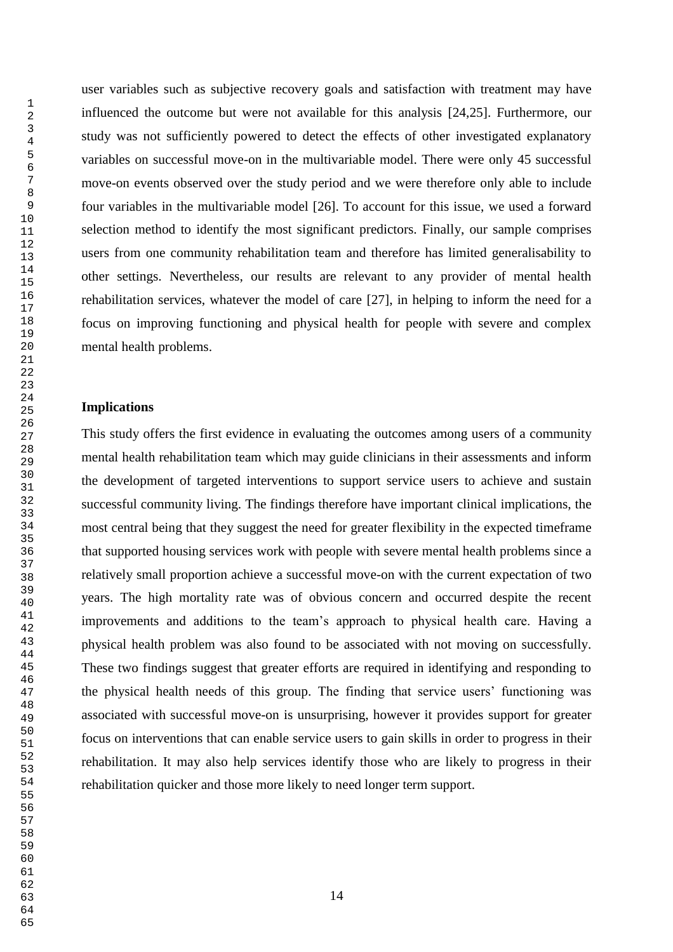user variables such as subjective recovery goals and satisfaction with treatment may have influenced the outcome but were not available for this analysis [24,25]. Furthermore, our study was not sufficiently powered to detect the effects of other investigated explanatory variables on successful move-on in the multivariable model. There were only 45 successful move-on events observed over the study period and we were therefore only able to include four variables in the multivariable model [26]. To account for this issue, we used a forward selection method to identify the most significant predictors. Finally, our sample comprises users from one community rehabilitation team and therefore has limited generalisability to other settings. Nevertheless, our results are relevant to any provider of mental health rehabilitation services, whatever the model of care [27], in helping to inform the need for a focus on improving functioning and physical health for people with severe and complex mental health problems.

### **Implications**

This study offers the first evidence in evaluating the outcomes among users of a community mental health rehabilitation team which may guide clinicians in their assessments and inform the development of targeted interventions to support service users to achieve and sustain successful community living. The findings therefore have important clinical implications, the most central being that they suggest the need for greater flexibility in the expected timeframe that supported housing services work with people with severe mental health problems since a relatively small proportion achieve a successful move-on with the current expectation of two years. The high mortality rate was of obvious concern and occurred despite the recent improvements and additions to the team's approach to physical health care. Having a physical health problem was also found to be associated with not moving on successfully. These two findings suggest that greater efforts are required in identifying and responding to the physical health needs of this group. The finding that service users' functioning was associated with successful move-on is unsurprising, however it provides support for greater focus on interventions that can enable service users to gain skills in order to progress in their rehabilitation. It may also help services identify those who are likely to progress in their rehabilitation quicker and those more likely to need longer term support.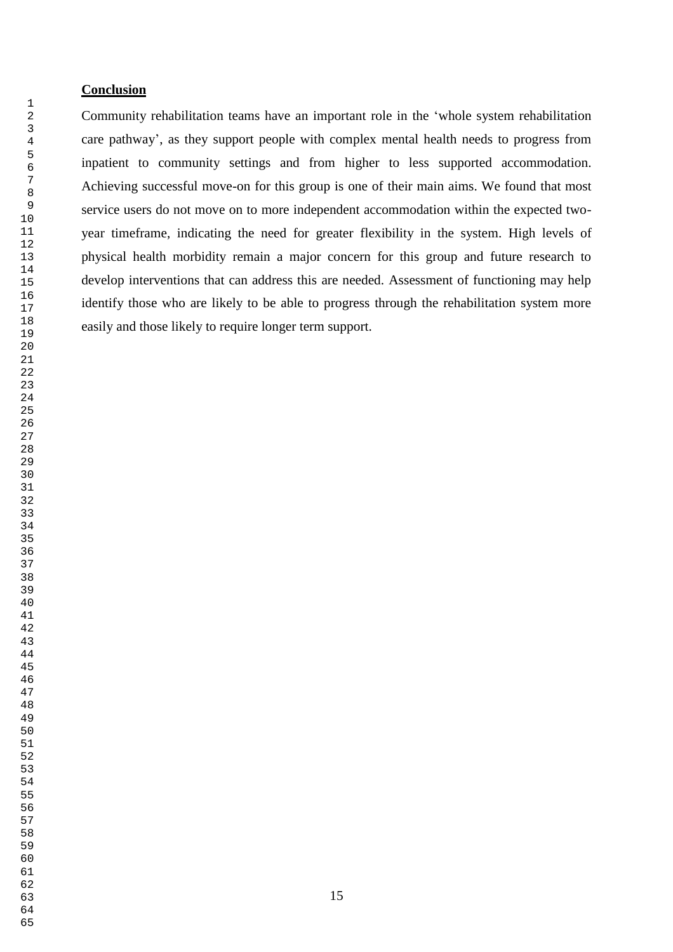## **Conclusion**

Community rehabilitation teams have an important role in the 'whole system rehabilitation care pathway', as they support people with complex mental health needs to progress from inpatient to community settings and from higher to less supported accommodation. Achieving successful move-on for this group is one of their main aims. We found that most service users do not move on to more independent accommodation within the expected twoyear timeframe, indicating the need for greater flexibility in the system. High levels of physical health morbidity remain a major concern for this group and future research to develop interventions that can address this are needed. Assessment of functioning may help identify those who are likely to be able to progress through the rehabilitation system more easily and those likely to require longer term support.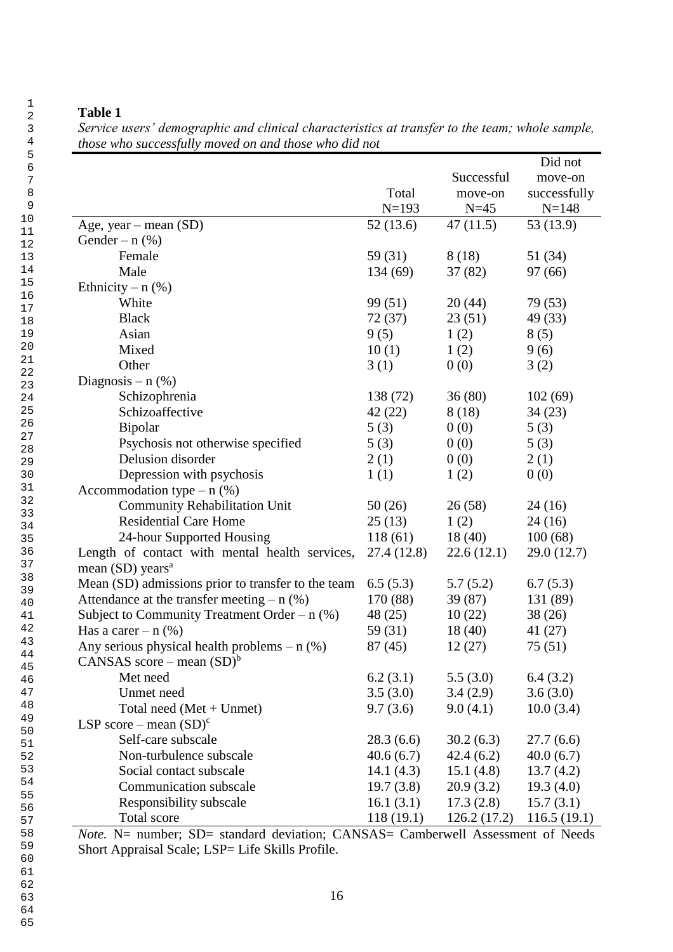*Service users' demographic and clinical characteristics at transfer to the team; whole sample, those who successfully moved on and those who did not*

|                                                    |              |             | Did not      |
|----------------------------------------------------|--------------|-------------|--------------|
|                                                    |              | Successful  | move-on      |
|                                                    | Total        | move-on     | successfully |
|                                                    | $N=193$      | $N = 45$    | $N = 148$    |
| Age, year – mean $(SD)$                            | 52(13.6)     | 47(11.5)    | 53 (13.9)    |
| Gender – $n$ (%)                                   |              |             |              |
| Female                                             | 59 (31)      | 8(18)       | 51 (34)      |
| Male                                               | 134(69)      | 37(82)      | 97 (66)      |
| Ethnicity – $n$ (%)                                |              |             |              |
| White                                              | 99 (51)      | 20(44)      | 79 (53)      |
| <b>Black</b>                                       | 72(37)       | 23(51)      | 49 (33)      |
| Asian                                              | 9(5)         | 1(2)        | 8(5)         |
| Mixed                                              | 10(1)        | 1(2)        | 9(6)         |
| Other                                              | 3(1)         | 0(0)        | 3(2)         |
| Diagnosis – $n$ (%)                                |              |             |              |
| Schizophrenia                                      | 138 (72)     | 36(80)      | 102(69)      |
| Schizoaffective                                    | 42 (22)      | 8(18)       | 34(23)       |
| Bipolar                                            | 5(3)         | 0(0)        | 5(3)         |
| Psychosis not otherwise specified                  | 5(3)         | 0(0)        | 5(3)         |
| Delusion disorder                                  | 2(1)         | 0(0)        | 2(1)         |
| Depression with psychosis                          | 1(1)         | 1(2)        | 0(0)         |
| Accommodation type $- n$ (%)                       |              |             |              |
| <b>Community Rehabilitation Unit</b>               | 50(26)       | 26(58)      | 24(16)       |
| <b>Residential Care Home</b>                       | 25(13)       | 1(2)        | 24(16)       |
| 24-hour Supported Housing                          | 118(61)      | 18(40)      | 100(68)      |
| Length of contact with mental health services,     | 27.4(12.8)   | 22.6(12.1)  | 29.0 (12.7)  |
| mean $(SD)$ years <sup>a</sup>                     |              |             |              |
| Mean (SD) admissions prior to transfer to the team | 6.5(5.3)     | 5.7(5.2)    | 6.7(5.3)     |
| Attendance at the transfer meeting $- n$ (%)       | 170 (88)     | 39(87)      | 131 (89)     |
| Subject to Community Treatment Order - $n$ (%)     | 48 (25)      | 10(22)      | 38(26)       |
| Has a care $- n$ (%)                               | 59 (31)      | 18(40)      | 41(27)       |
| Any serious physical health problems $- n$ (%)     | 87(45)       | 12(27)      | 75(51)       |
| CANSAS score – mean $(SD)^{6}$                     |              |             |              |
| Met need                                           | 6.2(3.1)     | 5.5(3.0)    | 6.4(3.2)     |
| Unmet need                                         | 3.5(3.0)     | 3.4(2.9)    | 3.6(3.0)     |
| Total need $(Met + Unmet)$                         | 9.7(3.6)     | 9.0(4.1)    | 10.0(3.4)    |
| LSP score – mean $(SD)^c$                          |              |             |              |
| Self-care subscale                                 | 28.3(6.6)    | 30.2(6.3)   | 27.7(6.6)    |
| Non-turbulence subscale                            | 40.6(6.7)    | 42.4(6.2)   | 40.0(6.7)    |
| Social contact subscale                            | 14.1 $(4.3)$ | 15.1(4.8)   | 13.7(4.2)    |
| Communication subscale                             | 19.7(3.8)    | 20.9(3.2)   | 19.3(4.0)    |
| Responsibility subscale                            | 16.1(3.1)    | 17.3(2.8)   | 15.7(3.1)    |
| Total score                                        | 118(19.1)    | 126.2(17.2) | 116.5(19.1)  |

*Note.* N= number; SD= standard deviation; CANSAS= Camberwell Assessment of Needs Short Appraisal Scale; LSP= Life Skills Profile.

16

62 63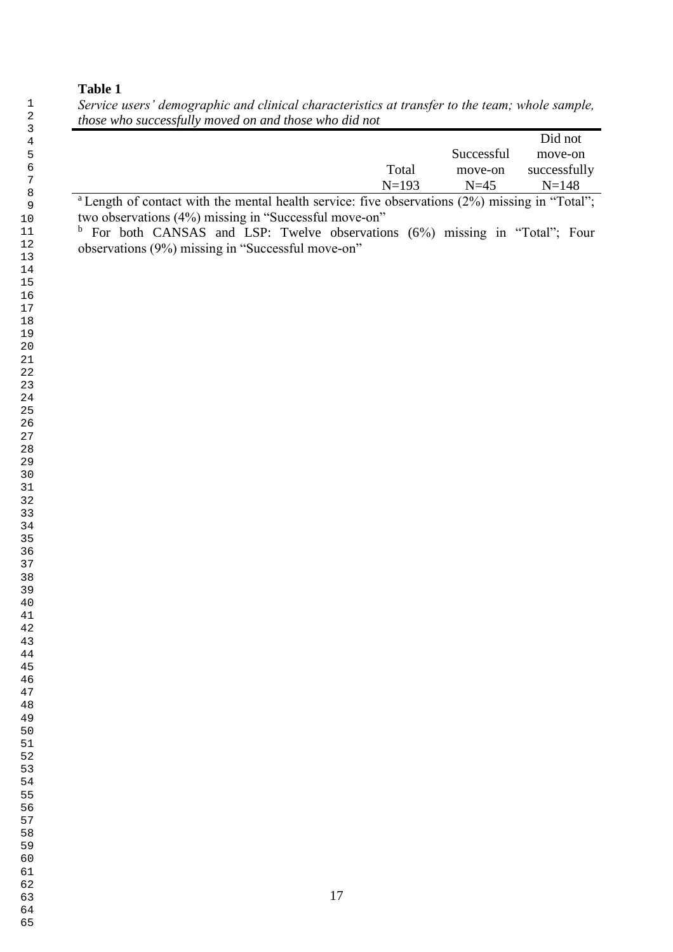*Service users' demographic and clinical characteristics at transfer to the team; whole sample, those who successfully moved on and those who did not*

|  |  |  |                                                                                                                                                                                                                                                                                                                                                                                                                                                              |  |        |         |                      |                                           | Did not      |
|--|--|--|--------------------------------------------------------------------------------------------------------------------------------------------------------------------------------------------------------------------------------------------------------------------------------------------------------------------------------------------------------------------------------------------------------------------------------------------------------------|--|--------|---------|----------------------|-------------------------------------------|--------------|
|  |  |  |                                                                                                                                                                                                                                                                                                                                                                                                                                                              |  |        |         |                      | Successful                                | move-on      |
|  |  |  |                                                                                                                                                                                                                                                                                                                                                                                                                                                              |  |        | Total   |                      | move-on                                   | successfully |
|  |  |  |                                                                                                                                                                                                                                                                                                                                                                                                                                                              |  |        | $N=193$ |                      | $N=45$                                    | $N = 148$    |
|  |  |  | $\mathcal{L} = \mathcal{L} = \mathcal{L} = \mathcal{L} = \mathcal{L} = \mathcal{L} = \mathcal{L} = \mathcal{L} = \mathcal{L} = \mathcal{L} = \mathcal{L} = \mathcal{L} = \mathcal{L} = \mathcal{L} = \mathcal{L} = \mathcal{L} = \mathcal{L} = \mathcal{L} = \mathcal{L} = \mathcal{L} = \mathcal{L} = \mathcal{L} = \mathcal{L} = \mathcal{L} = \mathcal{L} = \mathcal{L} = \mathcal{L} = \mathcal{L} = \mathcal{L} = \mathcal{L} = \mathcal{L} = \mathcal$ |  | $\sim$ |         | $\sim$ $\sim$ $\sim$ | $\sim$ $\sim$ $\sim$ $\sim$ $\sim$ $\sim$ | $\sqrt{2}$   |

<sup>a</sup> Length of contact with the mental health service: five observations (2%) missing in "Total"; two observations (4%) missing in "Successful move-on"

<sup>b</sup> For both CANSAS and LSP: Twelve observations (6%) missing in "Total"; Four observations (9%) missing in "Successful move-on"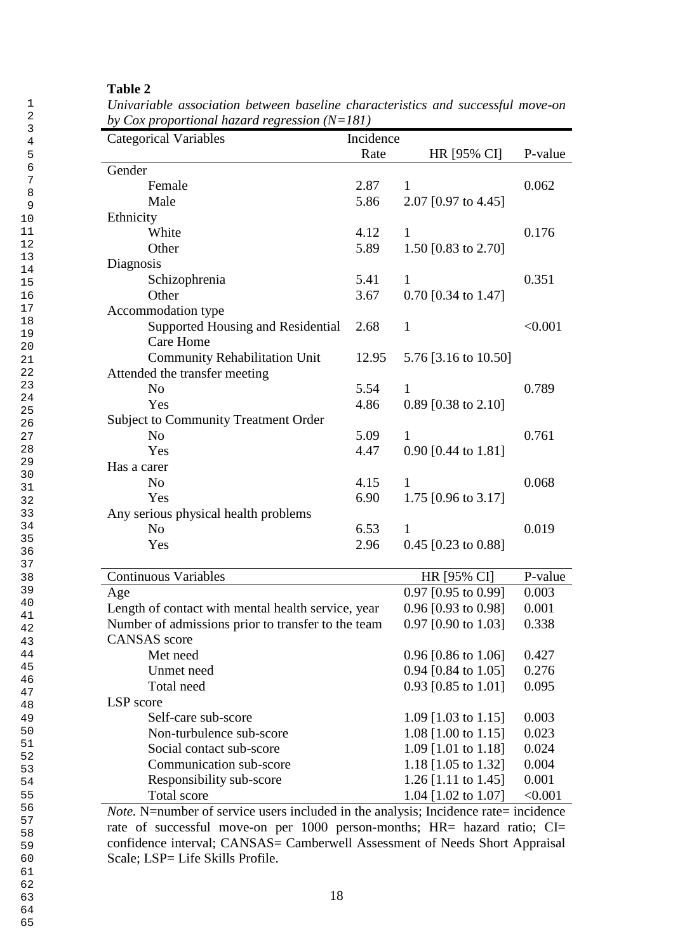| <b>Categorical Variables</b>                                           | Incidence |                       |         |
|------------------------------------------------------------------------|-----------|-----------------------|---------|
|                                                                        | Rate      | HR [95% CI]           | P-value |
| Gender                                                                 |           |                       |         |
| Female                                                                 | 2.87      | 1                     | 0.062   |
| Male                                                                   | 5.86      | 2.07 [0.97 to 4.45]   |         |
| Ethnicity                                                              |           |                       |         |
| White                                                                  | 4.12      | $\mathbf{1}$          | 0.176   |
| Other                                                                  | 5.89      | 1.50 [0.83 to 2.70]   |         |
| Diagnosis                                                              |           |                       |         |
| Schizophrenia                                                          | 5.41      | 1                     | 0.351   |
| Other                                                                  | 3.67      | $0.70$ [0.34 to 1.47] |         |
| Accommodation type                                                     |           |                       |         |
| Supported Housing and Residential                                      | 2.68      | $\mathbf{1}$          | < 0.001 |
| <b>Care Home</b>                                                       |           |                       |         |
| <b>Community Rehabilitation Unit</b>                                   | 12.95     | 5.76 [3.16 to 10.50]  |         |
| Attended the transfer meeting                                          |           |                       |         |
| N <sub>o</sub>                                                         | 5.54      | 1                     | 0.789   |
| Yes                                                                    | 4.86      | $0.89$ [0.38 to 2.10] |         |
| <b>Subject to Community Treatment Order</b>                            |           |                       |         |
| N <sub>0</sub>                                                         | 5.09      | $\mathbf{1}$          | 0.761   |
| Yes                                                                    | 4.47      | 0.90 [0.44 to 1.81]   |         |
| Has a carer                                                            |           |                       |         |
| N <sub>o</sub>                                                         | 4.15      | 1                     | 0.068   |
| Yes                                                                    | 6.90      | 1.75 [0.96 to 3.17]   |         |
| Any serious physical health problems                                   |           |                       |         |
| N <sub>o</sub>                                                         | 6.53      | $\mathbf{1}$          | 0.019   |
| Yes                                                                    | 2.96      | $0.45$ [0.23 to 0.88] |         |
| <b>Continuous Variables</b>                                            |           | HR [95% CI]           | P-value |
| Age                                                                    |           | 0.97 [0.95 to 0.99]   | 0.003   |
| Length of contact with mental health service, year                     |           | 0.96 [0.93 to 0.98]   | 0.001   |
| Number of admissions prior to transfer to the team 0.97 [0.90 to 1.03] |           |                       | 0.338   |
| <b>CANSAS</b> score                                                    |           |                       |         |
| Met need                                                               |           | $0.96$ [0.86 to 1.06] | 0.427   |
| Unmet need                                                             |           | 0.94 [0.84 to 1.05]   | 0.276   |
| Total need                                                             |           | 0.93 [0.85 to 1.01]   | 0.095   |
| LSP score                                                              |           |                       |         |
| Self-care sub-score                                                    |           | 1.09 [1.03 to 1.15]   | 0.003   |
| Non-turbulence sub-score                                               |           | 1.08 [1.00 to 1.15]   | 0.023   |
| Social contact sub-score                                               |           | 1.09 [1.01 to 1.18]   | 0.024   |
| Communication sub-score                                                |           | 1.18 [1.05 to 1.32]   | 0.004   |
| Responsibility sub-score                                               |           | 1.26 [1.11 to 1.45]   | 0.001   |
| Total score                                                            |           | 1.04 [1.02 to 1.07]   | < 0.001 |

*Univariable association between baseline characteristics and successful move-on by Cox proportional hazard regression (N=181)*

*Note.* N=number of service users included in the analysis; Incidence rate= incidence rate of successful move-on per 1000 person-months; HR= hazard ratio; CI= confidence interval; CANSAS= Camberwell Assessment of Needs Short Appraisal Scale; LSP= Life Skills Profile.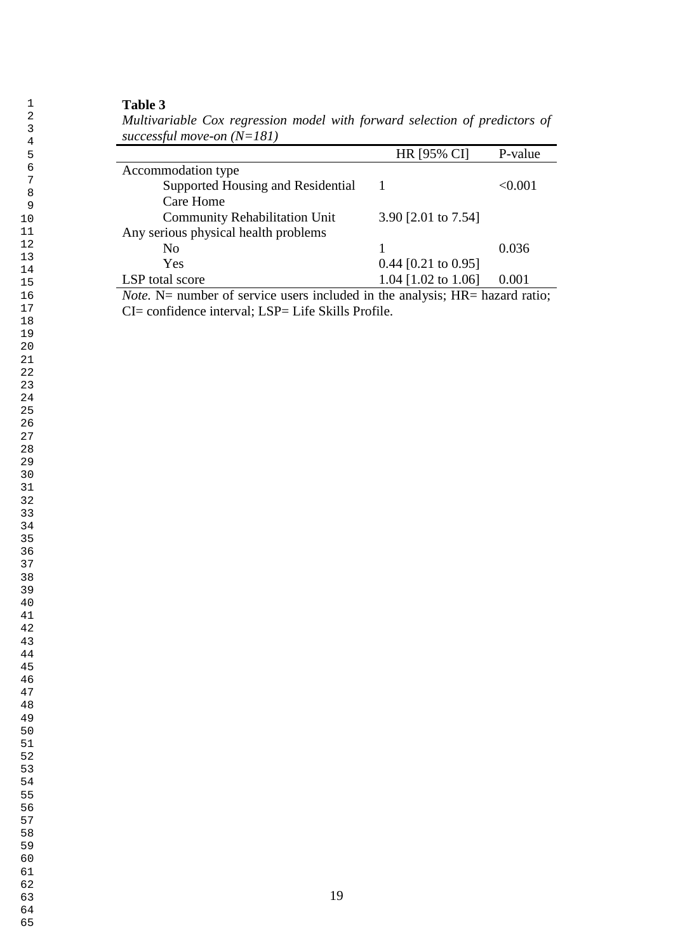*Multivariable Cox regression model with forward selection of predictors of successful move-on (N=181)*

|                                                                                 | <b>HR [95% CI]</b>    | P-value |
|---------------------------------------------------------------------------------|-----------------------|---------|
| Accommodation type                                                              |                       |         |
| Supported Housing and Residential                                               |                       | < 0.001 |
| Care Home                                                                       |                       |         |
| <b>Community Rehabilitation Unit</b>                                            | 3.90 [2.01 to 7.54]   |         |
| Any serious physical health problems                                            |                       |         |
| No                                                                              |                       | 0.036   |
| Yes                                                                             | $0.44$ [0.21 to 0.95] |         |
| LSP total score                                                                 | 1.04 [1.02 to 1.06]   | 0.001   |
| $\sim$<br>.<br>$\mathbf{r}$ $\mathbf{r}$ $\mathbf{r}$ $\mathbf{r}$ $\mathbf{r}$ | $\blacksquare$        |         |

*Note.* N= number of service users included in the analysis; HR= hazard ratio; CI= confidence interval; LSP= Life Skills Profile.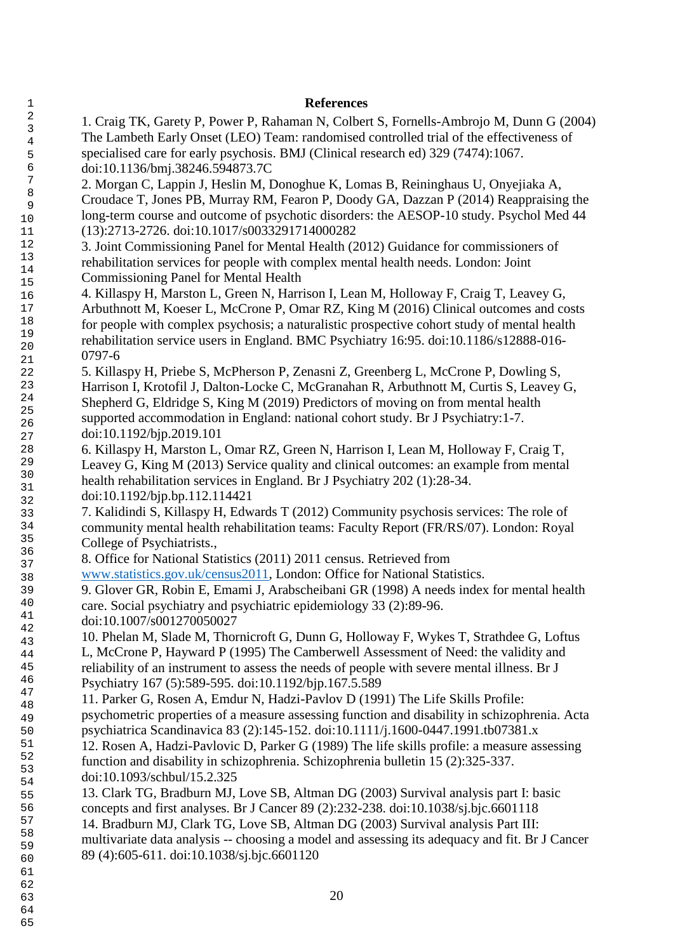| $\mathbf{1}$     | <b>References</b>                                                                              |
|------------------|------------------------------------------------------------------------------------------------|
| $\sqrt{2}$       | 1. Craig TK, Garety P, Power P, Rahaman N, Colbert S, Fornells-Ambrojo M, Dunn G (2004)        |
| $\mathbf{3}$     | The Lambeth Early Onset (LEO) Team: randomised controlled trial of the effectiveness of        |
| $\overline{4}$   | specialised care for early psychosis. BMJ (Clinical research ed) 329 (7474):1067.              |
| 5<br>$\epsilon$  |                                                                                                |
| $\boldsymbol{7}$ | doi:10.1136/bmj.38246.594873.7C                                                                |
| $\,8\,$          | 2. Morgan C, Lappin J, Heslin M, Donoghue K, Lomas B, Reininghaus U, Onyejiaka A,              |
| 9                | Croudace T, Jones PB, Murray RM, Fearon P, Doody GA, Dazzan P (2014) Reappraising the          |
| 10               | long-term course and outcome of psychotic disorders: the AESOP-10 study. Psychol Med 44        |
| 11               | (13):2713-2726. doi:10.1017/s0033291714000282                                                  |
| 12               | 3. Joint Commissioning Panel for Mental Health (2012) Guidance for commissioners of            |
| 13               | rehabilitation services for people with complex mental health needs. London: Joint             |
| 14               | <b>Commissioning Panel for Mental Health</b>                                                   |
| 15               | 4. Killaspy H, Marston L, Green N, Harrison I, Lean M, Holloway F, Craig T, Leavey G,          |
| 16<br>17         | Arbuthnott M, Koeser L, McCrone P, Omar RZ, King M (2016) Clinical outcomes and costs          |
| 18               |                                                                                                |
| 19               | for people with complex psychosis; a naturalistic prospective cohort study of mental health    |
| 20               | rehabilitation service users in England. BMC Psychiatry 16:95. doi:10.1186/s12888-016-         |
| 21               | 0797-6                                                                                         |
| 22               | 5. Killaspy H, Priebe S, McPherson P, Zenasni Z, Greenberg L, McCrone P, Dowling S,            |
| 23               | Harrison I, Krotofil J, Dalton-Locke C, McGranahan R, Arbuthnott M, Curtis S, Leavey G,        |
| 24               | Shepherd G, Eldridge S, King M (2019) Predictors of moving on from mental health               |
| 25<br>26         | supported accommodation in England: national cohort study. Br J Psychiatry:1-7.                |
| 27               | doi:10.1192/bjp.2019.101                                                                       |
| 28               | 6. Killaspy H, Marston L, Omar RZ, Green N, Harrison I, Lean M, Holloway F, Craig T,           |
| 29               | Leavey G, King M (2013) Service quality and clinical outcomes: an example from mental          |
| 30               | health rehabilitation services in England. Br J Psychiatry 202 (1):28-34.                      |
| 31               | doi:10.1192/bjp.bp.112.114421                                                                  |
| 32               | 7. Kalidindi S, Killaspy H, Edwards T (2012) Community psychosis services: The role of         |
| 33<br>34         |                                                                                                |
| 35               | community mental health rehabilitation teams: Faculty Report (FR/RS/07). London: Royal         |
| 36               | College of Psychiatrists.,                                                                     |
| 37               | 8. Office for National Statistics (2011) 2011 census. Retrieved from                           |
| 38               | www.statistics.gov.uk/census2011, London: Office for National Statistics.                      |
| 39               | 9. Glover GR, Robin E, Emami J, Arabscheibani GR (1998) A needs index for mental health        |
| $40\,$           | care. Social psychiatry and psychiatric epidemiology 33 (2):89-96.                             |
| 41<br>42         | doi:10.1007/s001270050027                                                                      |
| 43               | 10. Phelan M, Slade M, Thornicroft G, Dunn G, Holloway F, Wykes T, Strathdee G, Loftus         |
| 44               | L, McCrone P, Hayward P (1995) The Camberwell Assessment of Need: the validity and             |
| 45               | reliability of an instrument to assess the needs of people with severe mental illness. Br J    |
| 46               | Psychiatry 167 (5):589-595. doi:10.1192/bjp.167.5.589                                          |
| 47               | 11. Parker G, Rosen A, Emdur N, Hadzi-Pavlov D (1991) The Life Skills Profile:                 |
| 48               | psychometric properties of a measure assessing function and disability in schizophrenia. Acta  |
| 49<br>50         | psychiatrica Scandinavica 83 (2):145-152. doi:10.1111/j.1600-0447.1991.tb07381.x               |
| 51               | 12. Rosen A, Hadzi-Pavlovic D, Parker G (1989) The life skills profile: a measure assessing    |
| 52               |                                                                                                |
| 53               | function and disability in schizophrenia. Schizophrenia bulletin 15 (2):325-337.               |
| 54               | doi:10.1093/schbul/15.2.325                                                                    |
| 55               | 13. Clark TG, Bradburn MJ, Love SB, Altman DG (2003) Survival analysis part I: basic           |
| 56               | concepts and first analyses. Br J Cancer 89 (2):232-238. doi:10.1038/sj.bjc.6601118            |
| 57               | 14. Bradburn MJ, Clark TG, Love SB, Altman DG (2003) Survival analysis Part III:               |
| 58<br>59         | multivariate data analysis -- choosing a model and assessing its adequacy and fit. Br J Cancer |
| 60               | 89 (4):605-611. doi:10.1038/sj.bjc.6601120                                                     |
| 61               |                                                                                                |
| 62               |                                                                                                |
| 63               | 20                                                                                             |
|                  |                                                                                                |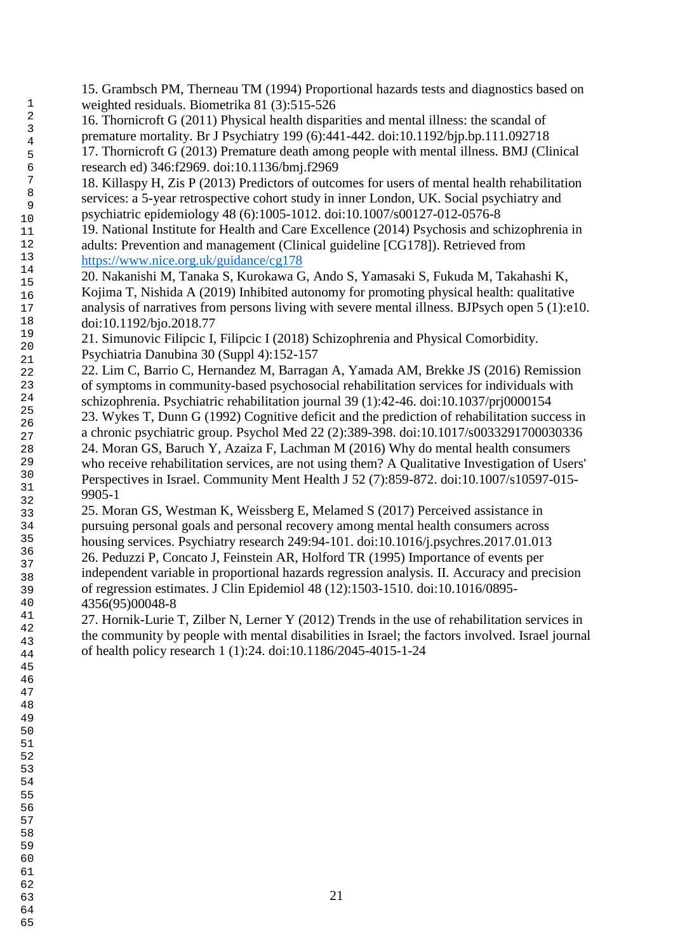15. Grambsch PM, Therneau TM (1994) Proportional hazards tests and diagnostics based on weighted residuals. Biometrika 81 (3):515-526 16. Thornicroft G (2011) Physical health disparities and mental illness: the scandal of premature mortality. Br J Psychiatry 199 (6):441-442. doi:10.1192/bjp.bp.111.092718 17. Thornicroft G (2013) Premature death among people with mental illness. BMJ (Clinical research ed) 346:f2969. doi:10.1136/bmj.f2969 18. Killaspy H, Zis P (2013) Predictors of outcomes for users of mental health rehabilitation services: a 5-year retrospective cohort study in inner London, UK. Social psychiatry and psychiatric epidemiology 48 (6):1005-1012. doi:10.1007/s00127-012-0576-8 19. National Institute for Health and Care Excellence (2014) Psychosis and schizophrenia in adults: Prevention and management (Clinical guideline [CG178]). Retrieved from <https://www.nice.org.uk/guidance/cg178> 20. Nakanishi M, Tanaka S, Kurokawa G, Ando S, Yamasaki S, Fukuda M, Takahashi K, Kojima T, Nishida A (2019) Inhibited autonomy for promoting physical health: qualitative analysis of narratives from persons living with severe mental illness. BJPsych open 5 (1):e10. doi:10.1192/bjo.2018.77 21. Simunovic Filipcic I, Filipcic I (2018) Schizophrenia and Physical Comorbidity. Psychiatria Danubina 30 (Suppl 4):152-157 22. Lim C, Barrio C, Hernandez M, Barragan A, Yamada AM, Brekke JS (2016) Remission of symptoms in community-based psychosocial rehabilitation services for individuals with schizophrenia. Psychiatric rehabilitation journal 39 (1):42-46. doi:10.1037/prj0000154 23. Wykes T, Dunn G (1992) Cognitive deficit and the prediction of rehabilitation success in a chronic psychiatric group. Psychol Med 22 (2):389-398. doi:10.1017/s0033291700030336 24. Moran GS, Baruch Y, Azaiza F, Lachman M (2016) Why do mental health consumers who receive rehabilitation services, are not using them? A Qualitative Investigation of Users' Perspectives in Israel. Community Ment Health J 52 (7):859-872. doi:10.1007/s10597-015- 9905-1 25. Moran GS, Westman K, Weissberg E, Melamed S (2017) Perceived assistance in pursuing personal goals and personal recovery among mental health consumers across housing services. Psychiatry research 249:94-101. doi:10.1016/j.psychres.2017.01.013 26. Peduzzi P, Concato J, Feinstein AR, Holford TR (1995) Importance of events per independent variable in proportional hazards regression analysis. II. Accuracy and precision of regression estimates. J Clin Epidemiol 48 (12):1503-1510. doi:10.1016/0895- 4356(95)00048-8 27. Hornik-Lurie T, Zilber N, Lerner Y (2012) Trends in the use of rehabilitation services in the community by people with mental disabilities in Israel; the factors involved. Israel journal of health policy research 1 (1):24. doi:10.1186/2045-4015-1-24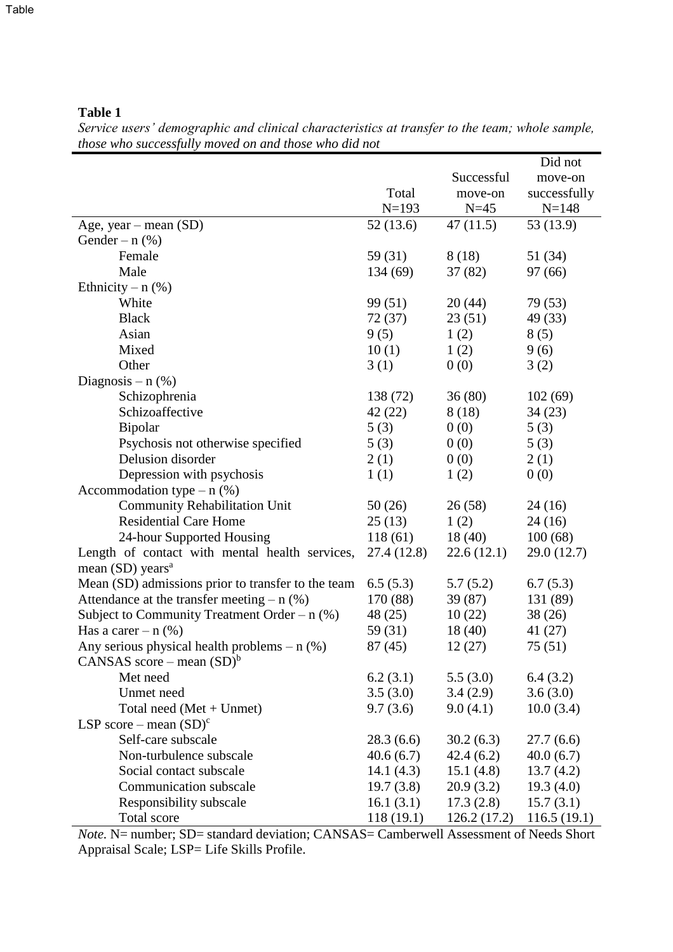*Service users' demographic and clinical characteristics at transfer to the team; whole sample, those who successfully moved on and those who did not*

|                                                    |            |             | Did not      |
|----------------------------------------------------|------------|-------------|--------------|
|                                                    |            | Successful  | move-on      |
|                                                    | Total      | move-on     | successfully |
|                                                    | $N=193$    | $N=45$      | $N = 148$    |
| Age, year - mean (SD)                              | 52(13.6)   | 47(11.5)    | 53 (13.9)    |
| Gender – $n$ (%)                                   |            |             |              |
| Female                                             | 59 (31)    | 8(18)       | 51 (34)      |
| Male                                               | 134 (69)   | 37(82)      | 97 (66)      |
| Ethnicity – $n$ (%)                                |            |             |              |
| White                                              | 99 (51)    | 20(44)      | 79 (53)      |
| <b>Black</b>                                       | 72(37)     | 23(51)      | 49 (33)      |
| Asian                                              | 9(5)       | 1(2)        | 8(5)         |
| Mixed                                              | 10(1)      | 1(2)        | 9(6)         |
| Other                                              | 3(1)       | 0(0)        | 3(2)         |
| Diagnosis – $n$ (%)                                |            |             |              |
| Schizophrenia                                      | 138 (72)   | 36(80)      | 102(69)      |
| Schizoaffective                                    | 42 (22)    | 8(18)       | 34(23)       |
| Bipolar                                            | 5(3)       | 0(0)        | 5(3)         |
| Psychosis not otherwise specified                  | 5(3)       | 0(0)        | 5(3)         |
| Delusion disorder                                  | 2(1)       | 0(0)        | 2(1)         |
| Depression with psychosis                          | 1(1)       | 1(2)        | 0(0)         |
| Accommodation type $- n$ (%)                       |            |             |              |
| <b>Community Rehabilitation Unit</b>               | 50(26)     | 26(58)      | 24(16)       |
| <b>Residential Care Home</b>                       | 25(13)     | 1(2)        | 24(16)       |
| 24-hour Supported Housing                          | 118(61)    | 18(40)      | 100(68)      |
| Length of contact with mental health services,     | 27.4(12.8) | 22.6(12.1)  | 29.0 (12.7)  |
| mean $(SD)$ years <sup>a</sup>                     |            |             |              |
| Mean (SD) admissions prior to transfer to the team | 6.5(5.3)   | 5.7(5.2)    | 6.7(5.3)     |
| Attendance at the transfer meeting $- n$ (%)       | 170 (88)   | 39 (87)     | 131 (89)     |
| Subject to Community Treatment Order – $n$ (%)     | 48(25)     | 10(22)      | 38(26)       |
| Has a care $- n$ (%)                               | 59 (31)    | 18(40)      | 41 (27)      |
| Any serious physical health problems $- n$ (%)     | 87(45)     | 12(27)      | 75 (51)      |
| CANSAS score – mean $(SD)^b$                       |            |             |              |
| Met need                                           | 6.2(3.1)   | 5.5(3.0)    | 6.4(3.2)     |
| Unmet need                                         | 3.5(3.0)   | 3.4(2.9)    | 3.6(3.0)     |
| Total need $(Met + Unmet)$                         | 9.7(3.6)   | 9.0(4.1)    | 10.0(3.4)    |
| LSP score – mean $(SD)^c$                          |            |             |              |
| Self-care subscale                                 | 28.3(6.6)  | 30.2(6.3)   | 27.7(6.6)    |
| Non-turbulence subscale                            | 40.6(6.7)  | 42.4(6.2)   | 40.0(6.7)    |
| Social contact subscale                            | 14.1(4.3)  | 15.1(4.8)   | 13.7(4.2)    |
| Communication subscale                             | 19.7(3.8)  | 20.9(3.2)   | 19.3(4.0)    |
| Responsibility subscale                            | 16.1(3.1)  | 17.3(2.8)   | 15.7(3.1)    |
| Total score                                        | 118(19.1)  | 126.2(17.2) | 116.5(19.1)  |

*Note.* N= number; SD= standard deviation; CANSAS= Camberwell Assessment of Needs Short Appraisal Scale; LSP= Life Skills Profile.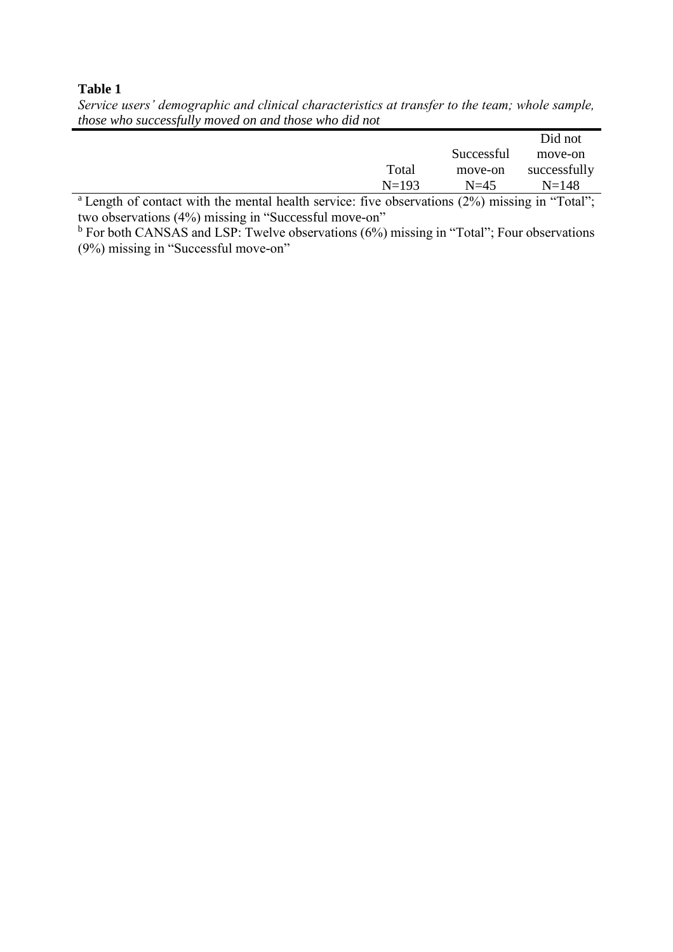*Service users' demographic and clinical characteristics at transfer to the team; whole sample, those who successfully moved on and those who did not*

|  |   |  |         |                                                                                                                 | Did not      |
|--|---|--|---------|-----------------------------------------------------------------------------------------------------------------|--------------|
|  |   |  |         | Successful                                                                                                      | move-on      |
|  |   |  | Total   | move-on                                                                                                         | successfully |
|  |   |  | $N=193$ | $N=45$                                                                                                          | $N = 148$    |
|  | . |  | ___     | the contract of the contract of the contract of the contract of the contract of the contract of the contract of |              |

 $a$  Length of contact with the mental health service: five observations (2%) missing in "Total"; two observations (4%) missing in "Successful move-on"

 $<sup>b</sup>$  For both CANSAS and LSP: Twelve observations (6%) missing in "Total"; Four observations</sup> (9%) missing in "Successful move-on"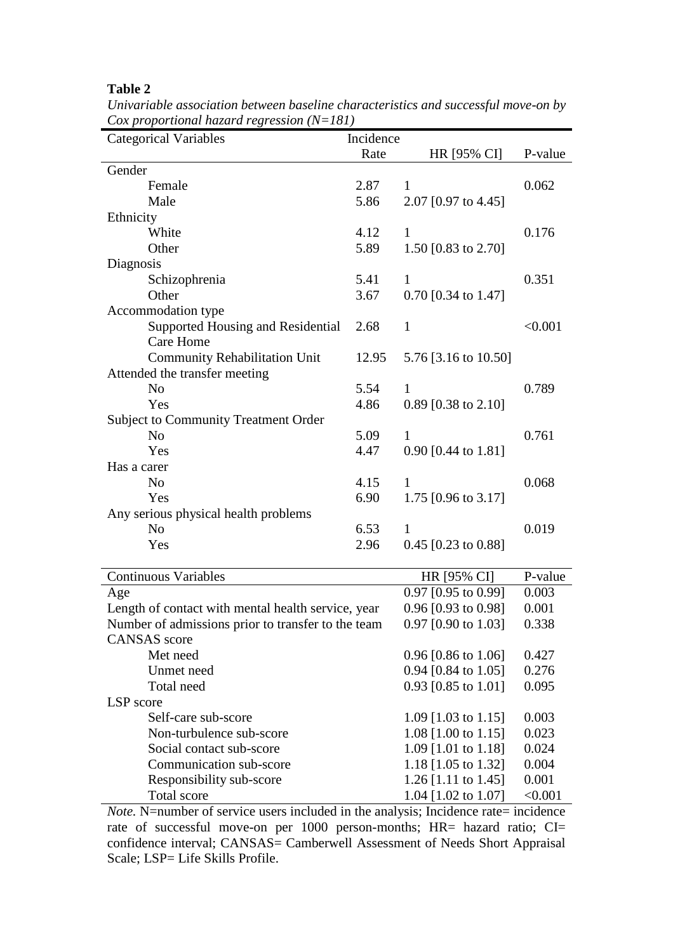| $\cos p$ roportional nazara regression (18–101)<br><b>Categorical Variables</b> | Incidence |                                |         |
|---------------------------------------------------------------------------------|-----------|--------------------------------|---------|
|                                                                                 | Rate      | HR [95% CI]                    | P-value |
| Gender                                                                          |           |                                |         |
| Female                                                                          | 2.87      | 1                              | 0.062   |
| Male                                                                            | 5.86      | 2.07 [0.97 to 4.45]            |         |
| Ethnicity                                                                       |           |                                |         |
| White                                                                           | 4.12      | $\mathbf{1}$                   | 0.176   |
| Other                                                                           | 5.89      | 1.50 [0.83 to 2.70]            |         |
| Diagnosis                                                                       |           |                                |         |
| Schizophrenia                                                                   | 5.41      | $\mathbf{1}$                   | 0.351   |
| Other                                                                           | 3.67      | $0.70$ [0.34 to 1.47]          |         |
| Accommodation type                                                              |           |                                |         |
| Supported Housing and Residential                                               | 2.68      | $\mathbf{1}$                   | < 0.001 |
| Care Home                                                                       |           |                                |         |
| <b>Community Rehabilitation Unit</b>                                            | 12.95     | 5.76 [3.16 to 10.50]           |         |
| Attended the transfer meeting                                                   |           |                                |         |
| N <sub>o</sub>                                                                  | 5.54      | 1                              | 0.789   |
| Yes                                                                             | 4.86      | $0.89$ [0.38 to 2.10]          |         |
| <b>Subject to Community Treatment Order</b>                                     |           |                                |         |
| N <sub>o</sub>                                                                  | 5.09      | $\mathbf{1}$                   | 0.761   |
| Yes                                                                             | 4.47      | 0.90 [0.44 to 1.81]            |         |
| Has a carer                                                                     |           |                                |         |
| N <sub>o</sub>                                                                  | 4.15      | 1                              | 0.068   |
| Yes                                                                             | 6.90      | 1.75 $[0.96 \text{ to } 3.17]$ |         |
| Any serious physical health problems                                            |           |                                |         |
| N <sub>o</sub>                                                                  | 6.53      | 1                              | 0.019   |
| Yes                                                                             | 2.96      | $0.45$ [0.23 to 0.88]          |         |
|                                                                                 |           |                                |         |
| <b>Continuous Variables</b>                                                     |           | HR [95% CI]                    | P-value |
| Age                                                                             |           | 0.97 [0.95 to 0.99]            | 0.003   |
| Length of contact with mental health service, year                              |           | $0.96$ [0.93 to 0.98]          | 0.001   |
| Number of admissions prior to transfer to the team                              |           | 0.97 [0.90 to 1.03]            | 0.338   |
| <b>CANSAS</b> score                                                             |           |                                |         |
| Met need                                                                        |           | 0.96 $[0.86 \text{ to } 1.06]$ | 0.427   |
| Unmet need                                                                      |           | 0.94 [0.84 to 1.05]            | 0.276   |
| Total need                                                                      |           | 0.93 [0.85 to 1.01]            | 0.095   |
| LSP score                                                                       |           |                                |         |
| Self-care sub-score                                                             |           | 1.09 [1.03 to 1.15]            | 0.003   |
| Non-turbulence sub-score                                                        |           | 1.08 [1.00 to 1.15]            | 0.023   |
| Social contact sub-score                                                        |           | 1.09 [1.01 to 1.18]            | 0.024   |
| Communication sub-score                                                         |           | 1.18 [1.05 to 1.32]            | 0.004   |
| Responsibility sub-score                                                        |           | 1.26 [1.11 to 1.45]            | 0.001   |
| Total score                                                                     |           | 1.04 [1.02 to 1.07]            | < 0.001 |

*Univariable association between baseline characteristics and successful move-on by Cox proportional hazard regression (N=181)*

*Note.* N=number of service users included in the analysis; Incidence rate= incidence rate of successful move-on per 1000 person-months; HR= hazard ratio; CI= confidence interval; CANSAS= Camberwell Assessment of Needs Short Appraisal Scale; LSP= Life Skills Profile.